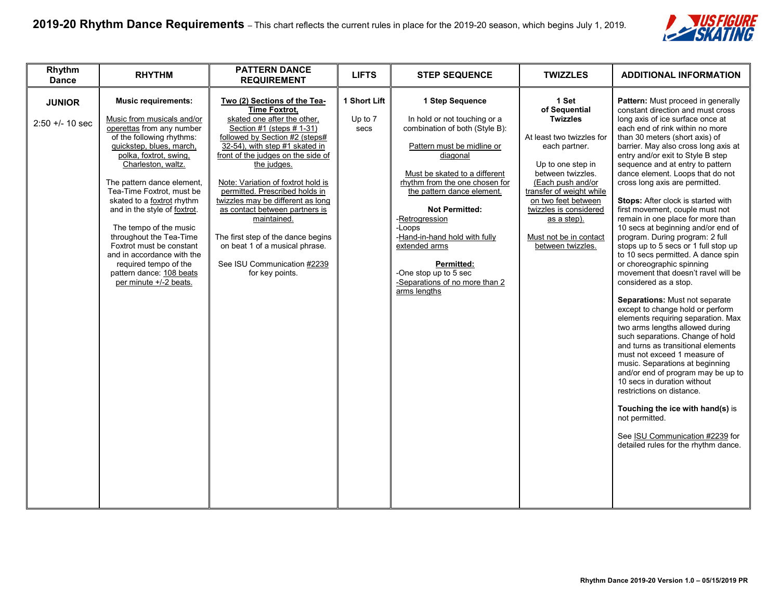

| Rhythm<br><b>Dance</b>           | <b>RHYTHM</b>                                                                                                                                                                                                                                                                                                                                                                                                                                                                                                         | <b>PATTERN DANCE</b><br><b>REQUIREMENT</b>                                                                                                                                                                                                                                                                                                                                                                                                                                                                                        | <b>LIFTS</b>                    | <b>STEP SEQUENCE</b>                                                                                                                                                                                                                                                                                                                                                                                                                | <b>TWIZZLES</b>                                                                                                                                                                                                                                                                                   | <b>ADDITIONAL INFORMATION</b>                                                                                                                                                                                                                                                                                                                                                                                                                                                                                                                                                                                                                                                                                                                                                                                                                                                                                                                                                                                                                                                                                                                                                                                                                                            |
|----------------------------------|-----------------------------------------------------------------------------------------------------------------------------------------------------------------------------------------------------------------------------------------------------------------------------------------------------------------------------------------------------------------------------------------------------------------------------------------------------------------------------------------------------------------------|-----------------------------------------------------------------------------------------------------------------------------------------------------------------------------------------------------------------------------------------------------------------------------------------------------------------------------------------------------------------------------------------------------------------------------------------------------------------------------------------------------------------------------------|---------------------------------|-------------------------------------------------------------------------------------------------------------------------------------------------------------------------------------------------------------------------------------------------------------------------------------------------------------------------------------------------------------------------------------------------------------------------------------|---------------------------------------------------------------------------------------------------------------------------------------------------------------------------------------------------------------------------------------------------------------------------------------------------|--------------------------------------------------------------------------------------------------------------------------------------------------------------------------------------------------------------------------------------------------------------------------------------------------------------------------------------------------------------------------------------------------------------------------------------------------------------------------------------------------------------------------------------------------------------------------------------------------------------------------------------------------------------------------------------------------------------------------------------------------------------------------------------------------------------------------------------------------------------------------------------------------------------------------------------------------------------------------------------------------------------------------------------------------------------------------------------------------------------------------------------------------------------------------------------------------------------------------------------------------------------------------|
| <b>JUNIOR</b><br>2:50 +/- 10 sec | <b>Music requirements:</b><br>Music from musicals and/or<br>operettas from any number<br>of the following rhythms:<br>quickstep, blues, march,<br>polka, foxtrot, swing,<br>Charleston, waltz.<br>The pattern dance element,<br>Tea-Time Foxtrot, must be<br>skated to a foxtrot rhythm<br>and in the style of foxtrot.<br>The tempo of the music<br>throughout the Tea-Time<br>Foxtrot must be constant<br>and in accordance with the<br>required tempo of the<br>pattern dance: 108 beats<br>per minute +/-2 beats. | Two (2) Sections of the Tea-<br><b>Time Foxtrot,</b><br>skated one after the other.<br>Section #1 (steps # 1-31)<br>followed by Section #2 (steps#<br>32-54), with step #1 skated in<br>front of the judges on the side of<br>the judges.<br>Note: Variation of foxtrot hold is<br>permitted. Prescribed holds in<br>twizzles may be different as long<br>as contact between partners is<br>maintained.<br>The first step of the dance begins<br>on beat 1 of a musical phrase.<br>See ISU Communication #2239<br>for key points. | 1 Short Lift<br>Up to 7<br>secs | 1 Step Sequence<br>In hold or not touching or a<br>combination of both (Style B):<br>Pattern must be midline or<br>diagonal<br>Must be skated to a different<br>rhythm from the one chosen for<br>the pattern dance element.<br><b>Not Permitted:</b><br>-Retrogression<br>-Loops<br>-Hand-in-hand hold with fully<br>extended arms<br><b>Permitted:</b><br>-One stop up to 5 sec<br>-Separations of no more than 2<br>arms lengths | 1 Set<br>of Sequential<br><b>Twizzles</b><br>At least two twizzles for<br>each partner.<br>Up to one step in<br>between twizzles.<br>(Each push and/or<br>transfer of weight while<br>on two feet between<br>twizzles is considered<br>as a step).<br>Must not be in contact<br>between twizzles. | Pattern: Must proceed in generally<br>constant direction and must cross<br>long axis of ice surface once at<br>each end of rink within no more<br>than 30 meters (short axis) of<br>barrier. May also cross long axis at<br>entry and/or exit to Style B step<br>sequence and at entry to pattern<br>dance element. Loops that do not<br>cross long axis are permitted.<br>Stops: After clock is started with<br>first movement, couple must not<br>remain in one place for more than<br>10 secs at beginning and/or end of<br>program. During program: 2 full<br>stops up to 5 secs or 1 full stop up<br>to 10 secs permitted. A dance spin<br>or choreographic spinning<br>movement that doesn't ravel will be<br>considered as a stop.<br>Separations: Must not separate<br>except to change hold or perform<br>elements requiring separation. Max<br>two arms lengths allowed during<br>such separations. Change of hold<br>and turns as transitional elements<br>must not exceed 1 measure of<br>music. Separations at beginning<br>and/or end of program may be up to<br>10 secs in duration without<br>restrictions on distance.<br>Touching the ice with hand(s) is<br>not permitted.<br>See ISU Communication #2239 for<br>detailed rules for the rhythm dance. |